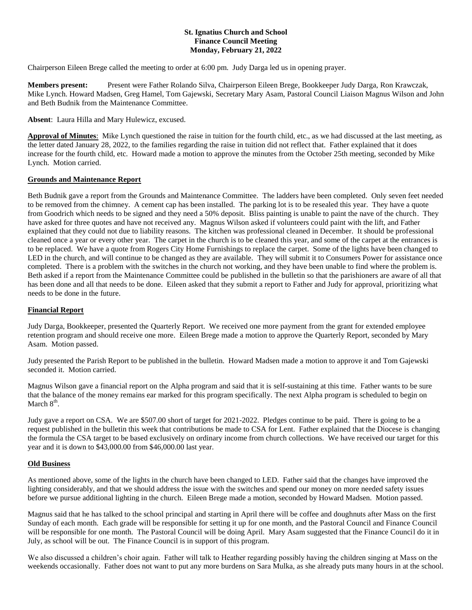## **St. Ignatius Church and School Finance Council Meeting Monday, February 21, 2022**

Chairperson Eileen Brege called the meeting to order at 6:00 pm. Judy Darga led us in opening prayer.

**Members present:** Present were Father Rolando Silva, Chairperson Eileen Brege, Bookkeeper Judy Darga, Ron Krawczak, Mike Lynch. Howard Madsen, Greg Hamel, Tom Gajewski, Secretary Mary Asam, Pastoral Council Liaison Magnus Wilson and John and Beth Budnik from the Maintenance Committee.

**Absent**: Laura Hilla and Mary Hulewicz, excused.

**Approval of Minutes**: Mike Lynch questioned the raise in tuition for the fourth child, etc., as we had discussed at the last meeting, as the letter dated January 28, 2022, to the families regarding the raise in tuition did not reflect that. Father explained that it does increase for the fourth child, etc. Howard made a motion to approve the minutes from the October 25th meeting, seconded by Mike Lynch. Motion carried.

#### **Grounds and Maintenance Report**

Beth Budnik gave a report from the Grounds and Maintenance Committee. The ladders have been completed. Only seven feet needed to be removed from the chimney. A cement cap has been installed. The parking lot is to be resealed this year. They have a quote from Goodrich which needs to be signed and they need a 50% deposit. Bliss painting is unable to paint the nave of the church. They have asked for three quotes and have not received any. Magnus Wilson asked if volunteers could paint with the lift, and Father explained that they could not due to liability reasons. The kitchen was professional cleaned in December. It should be professional cleaned once a year or every other year. The carpet in the church is to be cleaned this year, and some of the carpet at the entrances is to be replaced. We have a quote from Rogers City Home Furnishings to replace the carpet. Some of the lights have been changed to LED in the church, and will continue to be changed as they are available. They will submit it to Consumers Power for assistance once completed. There is a problem with the switches in the church not working, and they have been unable to find where the problem is. Beth asked if a report from the Maintenance Committee could be published in the bulletin so that the parishioners are aware of all that has been done and all that needs to be done. Eileen asked that they submit a report to Father and Judy for approval, prioritizing what needs to be done in the future.

#### **Financial Report**

Judy Darga, Bookkeeper, presented the Quarterly Report. We received one more payment from the grant for extended employee retention program and should receive one more. Eileen Brege made a motion to approve the Quarterly Report, seconded by Mary Asam. Motion passed.

Judy presented the Parish Report to be published in the bulletin. Howard Madsen made a motion to approve it and Tom Gajewski seconded it. Motion carried.

Magnus Wilson gave a financial report on the Alpha program and said that it is self-sustaining at this time. Father wants to be sure that the balance of the money remains ear marked for this program specifically. The next Alpha program is scheduled to begin on March  $8<sup>th</sup>$ .

Judy gave a report on CSA. We are \$507.00 short of target for 2021-2022. Pledges continue to be paid. There is going to be a request published in the bulletin this week that contributions be made to CSA for Lent. Father explained that the Diocese is changing the formula the CSA target to be based exclusively on ordinary income from church collections. We have received our target for this year and it is down to \$43,000.00 from \$46,000.00 last year.

#### **Old Business**

As mentioned above, some of the lights in the church have been changed to LED. Father said that the changes have improved the lighting considerably, and that we should address the issue with the switches and spend our money on more needed safety issues before we pursue additional lighting in the church. Eileen Brege made a motion, seconded by Howard Madsen. Motion passed.

Magnus said that he has talked to the school principal and starting in April there will be coffee and doughnuts after Mass on the first Sunday of each month. Each grade will be responsible for setting it up for one month, and the Pastoral Council and Finance Council will be responsible for one month. The Pastoral Council will be doing April. Mary Asam suggested that the Finance Council do it in July, as school will be out. The Finance Council is in support of this program.

We also discussed a children's choir again. Father will talk to Heather regarding possibly having the children singing at Mass on the weekends occasionally. Father does not want to put any more burdens on Sara Mulka, as she already puts many hours in at the school.